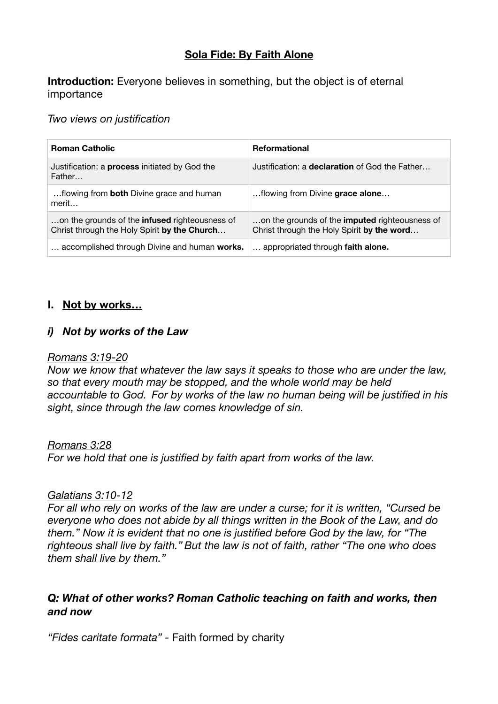# **Sola Fide: By Faith Alone**

**Introduction:** Everyone believes in something, but the object is of eternal importance

*Two views on justification* 

| <b>Roman Catholic</b>                                                                                 | <b>Reformational</b>                                                                                |
|-------------------------------------------------------------------------------------------------------|-----------------------------------------------------------------------------------------------------|
| Justification: a process initiated by God the<br>Father                                               | Justification: a <b>declaration</b> of God the Father                                               |
| flowing from both Divine grace and human<br>merit                                                     | flowing from Divine grace alone                                                                     |
| on the grounds of the <b>infused</b> righteousness of<br>Christ through the Holy Spirit by the Church | on the grounds of the <b>imputed</b> righteousness of<br>Christ through the Holy Spirit by the word |
| accomplished through Divine and human works.                                                          | appropriated through faith alone.                                                                   |

## **I. Not by works…**

## *i) Not by works of the Law*

#### *Romans 3:19-20*

*Now we know that whatever the law says it speaks to those who are under the law, so that every mouth may be stopped, and the whole world may be held accountable to God. For by works of the law no human being will be justified in his sight, since through the law comes knowledge of sin.*

#### *Romans 3:28*

*For we hold that one is justified by faith apart from works of the law.*

#### *Galatians 3:10-12*

*For all who rely on works of the law are under a curse; for it is written, "Cursed be everyone who does not abide by all things written in the Book of the Law, and do them." Now it is evident that no one is justified before God by the law, for "The righteous shall live by faith." But the law is not of faith, rather "The one who does them shall live by them."*

## *Q: What of other works? Roman Catholic teaching on faith and works, then and now*

*"Fides caritate formata" -* Faith formed by charity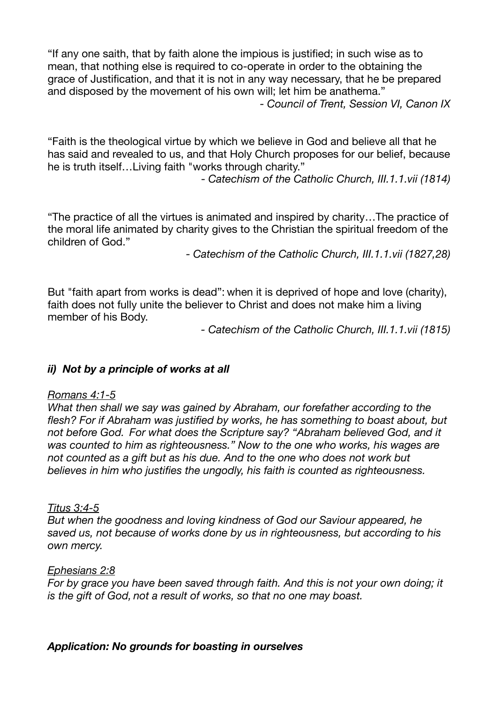"If any one saith, that by faith alone the impious is justified; in such wise as to mean, that nothing else is required to co-operate in order to the obtaining the grace of Justification, and that it is not in any way necessary, that he be prepared and disposed by the movement of his own will; let him be anathema." *- Council of Trent, Session VI, Canon IX* 

"Faith is the theological virtue by which we believe in God and believe all that he has said and revealed to us, and that Holy Church proposes for our belief, because he is truth itself…Living faith "works through charity."

- *Catechism of the Catholic Church, III.1.1.vii (1814)* 

"The practice of all the virtues is animated and inspired by charity…The practice of the moral life animated by charity gives to the Christian the spiritual freedom of the children of God."

*- Catechism of the Catholic Church, III.1.1.vii (1827,28)* 

But "faith apart from works is dead": when it is deprived of hope and love (charity), faith does not fully unite the believer to Christ and does not make him a living member of his Body.

*- Catechism of the Catholic Church, III.1.1.vii (1815)* 

## *ii) Not by a principle of works at all*

#### *Romans 4:1-5*

*What then shall we say was gained by Abraham, our forefather according to the flesh? For if Abraham was justified by works, he has something to boast about, but not before God. For what does the Scripture say? "Abraham believed God, and it was counted to him as righteousness." Now to the one who works, his wages are not counted as a gift but as his due. And to the one who does not work but believes in him who justifies the ungodly, his faith is counted as righteousness.* 

#### *Titus 3:4-5*

*But when the goodness and loving kindness of God our Saviour appeared, he saved us, not because of works done by us in righteousness, but according to his own mercy.* 

#### *Ephesians 2:8*

*For by grace you have been saved through faith. And this is not your own doing; it is the gift of God, not a result of works, so that no one may boast.*

*Application: No grounds for boasting in ourselves*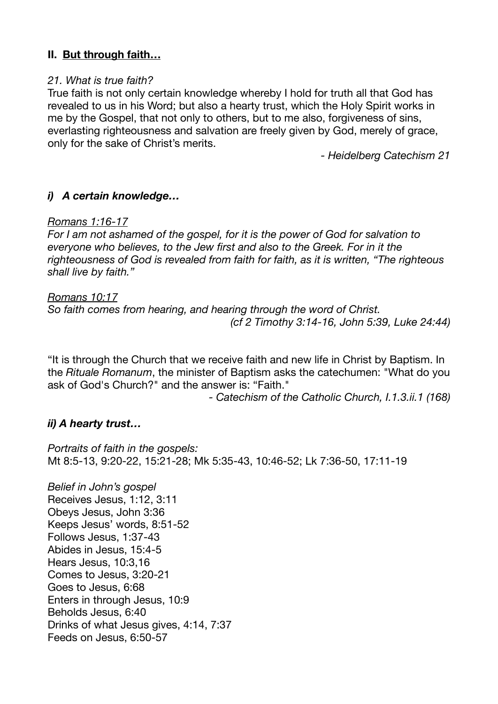## **II. But through faith…**

#### *21. What is true faith?*

True faith is not only certain knowledge whereby I hold for truth all that God has revealed to us in his Word; but also a hearty trust, which the Holy Spirit works in me by the Gospel, that not only to others, but to me also, forgiveness of sins, everlasting righteousness and salvation are freely given by God, merely of grace, only for the sake of Christ's merits.

*- Heidelberg Catechism 21* 

### *i) A certain knowledge…*

#### *Romans 1:16-17*

*For I am not ashamed of the gospel, for it is the power of God for salvation to everyone who believes, to the Jew first and also to the Greek. For in it the righteousness of God is revealed from faith for faith, as it is written, "The righteous shall live by faith."*

#### *Romans 10:17*

*So faith comes from hearing, and hearing through the word of Christ. (cf 2 Timothy 3:14-16, John 5:39, Luke 24:44)* 

"It is through the Church that we receive faith and new life in Christ by Baptism. In the *Rituale Romanum*, the minister of Baptism asks the catechumen: "What do you ask of God's Church?" and the answer is: "Faith."

*- Catechism of the Catholic Church, I.1.3.ii.1 (168)* 

## *ii) A hearty trust…*

*Portraits of faith in the gospels:*  Mt 8:5-13, 9:20-22, 15:21-28; Mk 5:35-43, 10:46-52; Lk 7:36-50, 17:11-19

*Belief in John's gospel* Receives Jesus, 1:12, 3:11 Obeys Jesus, John 3:36 Keeps Jesus' words, 8:51-52 Follows Jesus, 1:37-43 Abides in Jesus, 15:4-5 Hears Jesus, 10:3,16 Comes to Jesus, 3:20-21 Goes to Jesus, 6:68 Enters in through Jesus, 10:9 Beholds Jesus, 6:40 Drinks of what Jesus gives, 4:14, 7:37 Feeds on Jesus, 6:50-57